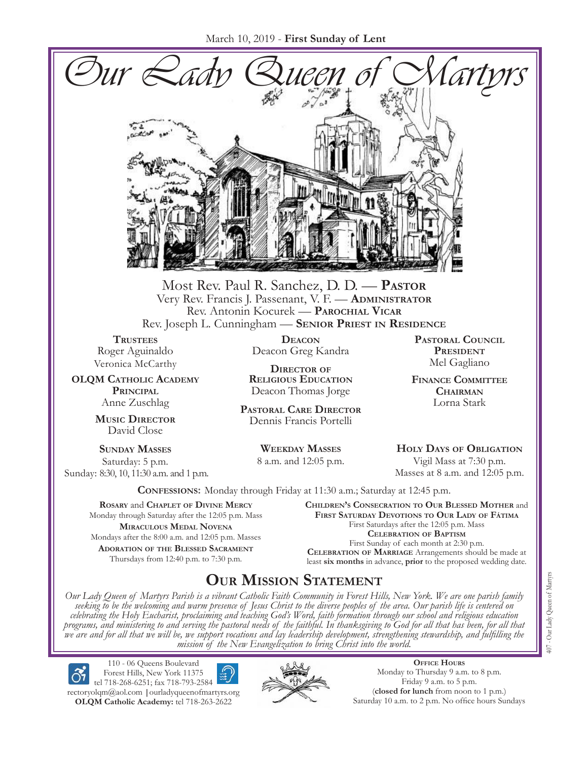

Most Rev. Paul R. Sanchez, D. D. — **Pastor** Very Rev. Francis J. Passenant, V. F. — **Administrator** Rev. Antonin Kocurek — **Parochial Vicar** Rev. Joseph L. Cunningham — **Senior Priest in Residence**

**TRUSTEES** Roger Aguinaldo Veronica McCarthy

**OLQM Catholic Academy Principal** Anne Zuschlag

> **Music Director** David Close

**Sunday Masses** Saturday: 5 p.m. Sunday: 8:30, 10, 11:30 a.m. and 1 p.m.

**Deacon** Deacon Greg Kandra

**Director of Religious Education** Deacon Thomas Jorge

**Pastoral Care Director** Dennis Francis Portelli

> **Weekday Masses** 8 a.m. and 12:05 p.m.

**Pastoral Council** PRESIDENT Mel Gagliano

**Finance Committee Chairman** Lorna Stark

**Holy Days of Obligation** Vigil Mass at 7:30 p.m. Masses at 8 a.m. and 12:05 p.m.

**Confessions:** Monday through Friday at 11:30 a.m.; Saturday at 12:45 p.m.

**Rosary** and **Chaplet of Divine Mercy** Monday through Saturday after the 12:05 p.m. Mass **Miraculous Medal Novena** Mondays after the 8:00 a.m. and 12:05 p.m. Masses **Adoration of the Blessed Sacrament** Thursdays from 12:40 p.m. to 7:30 p.m.

**Children's Consecration to Our Blessed Mother** and **First Saturday Devotions to Our Lady of Fátima** First Saturdays after the 12:05 p.m. Mass **Celebration of Baptism** First Sunday of each month at 2:30 p.m. **Celebration of Marriage** Arrangements should be made at least **six months** in advance, **prior** to the proposed wedding date.

# **Our Mission Statement**

Our Lady Queen of Martyrs Parish is a vibrant Catholic Faith Community in Forest Hills, New York. We are one parish family<br>seeking to be the welcoming and warm presence of Jesus Christ to the diverse peoples of the area. O *celebrating the Holy Eucharist, proclaiming and teaching God's Word, faith formation through our school and religious education*  programs, and ministering to and serving the pastoral needs of the faithful. In thanksgiving to God for all that has been, for all that<br>we are and for all that we will be, we support vocations and lay leadership developmen

110 - 06 Queens Boulevard Forest Hills, New York 11375 tel 718-268-6251; fax 718-793-2584 rectoryolqm@aol.com **|**ourladyqueenofmartyrs.org **OLQM Catholic Academy:** tel 718-263-2622



**Office Hours** Monday to Thursday 9 a.m. to 8 p.m. Friday 9 a.m. to 5 p.m. (**closed for lunch** from noon to 1 p.m.) Saturday 10 a.m. to 2 p.m. No office hours Sundays

407 - Our Lady Queen of Martyrs 407 - Our Lady Queen of Martyrs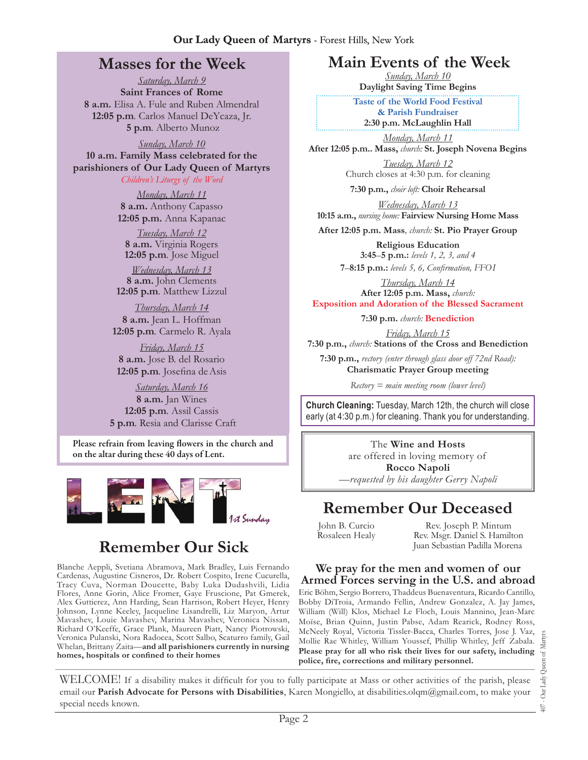### **Our Lady Queen of Martyrs** - Forest Hills, New York

## **Masses for the Week**

*Saturday, March 9* **Saint Frances of Rome 8 a.m.** Elisa A. Fule and Ruben Almendral **12:05 p.m***.* Carlos Manuel DeYcaza, Jr. **5 p.m***.* Alberto Munoz

*Sunday, March 10* **10 a.m. Family Mass celebrated for the parishioners of Our Lady Queen of Martyrs**

*Children's Liturgy of the Word* 

*Monday, March 11* **8 a.m.** Anthony Capasso **12:05 p.m.** Anna Kapanac

*Tuesday, March 12* **8 a.m.** Virginia Rogers **12:05 p.m***.* Jose Miguel

*Wednesday, March 13* **8 a.m.** John Clements **12:05 p.m***.* Matthew Lizzul

*Thursday, March 14* **8 a.m.** Jean L. Hoffman **12:05 p.m***.* Carmelo R. Ayala

*Friday, March 15* **8 a.m.** Jose B. del Rosario **12:05 p.m***.* Josefina deAsis

*Saturday, March 16* **8 a.m.** Jan Wines **12:05 p.m***.* Assil Cassis **5 p.m***.* Resia and Clarisse Craft

Please refrain from leaving flowers in the church and on the altar during these 40 days of Lent.



# **Remember Our Sick**

Blanche Aeppli, Svetiana Abramova, Mark Bradley, Luis Fernando Cardenas, Augustine Cisneros, Dr. Robert Cospito, Irene Cucurella, Tracy Cuva, Norman Doucette, Baby Luka Dudashvili, Lidia Flores, Anne Gorin, Alice Fromer, Gaye Fruscione, Pat Gmerek, Alex Guttierez, Ann Harding, Sean Harrison, Robert Heyer, Henry Johnson, Lynne Keeley, Jacqueline Lisandrelli, Liz Maryon, Artur Mavashev, Louie Mavashev, Marina Mavashev, Veronica Nissan, Richard O'Keeffe, Grace Plank, Maureen Piatt, Nancy Piotrowski, Veronica Pulanski, Nora Radocea, Scott Salbo, Scaturro family, Gail Whelan, Brittany Zaita—**and all parishioners currently in nursing homes, hospitals or confined to their homes**

## **Main Events of the Week**

*Sunday, March 10* **Daylight Saving Time Begins**

**Taste of the World Food Festival & Parish Fundraiser**

**2:30 p.m. McLaughlin Hall** *Monday, March 11* **After 12:05 p.m.. Mass,** *church:* **St. Joseph Novena Begins**

*Tuesday, March 12* Church closes at 4:30 p.m. for cleaning

**7:30 p.m.,** *choir loft:* **Choir Rehearsal**

*Wednesday, March 13* **10:15 a.m.,** *nursing home:* **Fairview Nursing Home Mass**

**After 12:05 p.m. Mass***, church:* **St. Pio Prayer Group**

**Religious Education 3:45**–**5 p.m.:** *levels 1, 2, 3, and 4*  **7**–**8:15 p.m.:** *levels 5, 6, Confirmation, FFO  I*

*Thursday, March 14* **After 12:05 p.m. Mass,** *church:*  **Exposition and Adoration of the Blessed Sacrament**

**7:30 p.m.** *church:* **Benediction** 

*Friday, March 15* **7:30 p.m.,** *church:* **Stations of the Cross and Benediction 7:30 p.m.,** *rectory (enter through glass door off 72nd Road):*

**Charismatic Prayer Group meeting**

*Rectory = main meeting room (lower level)*

**Church Cleaning:** Tuesday, March 12th, the church will close early (at 4:30 p.m.) for cleaning. Thank you for understanding.

> The **Wine and Hosts**  are offered in loving memory of **Rocco Napoli** —*requested by his daughter Gerry Napoli*

## **Remember Our Deceased**

John B. Curcio Rosaleen Healy

Rev. Joseph P. Mintum Rev. Msgr. Daniel S. Hamilton Juan Sebastian Padilla Morena

### **We pray for the men and women of our Armed Forces serving in the U.S. and abroad**

Eric Böhm, Sergio Borrero, Thaddeus Buenaventura, Ricardo Cantillo, Bobby DiTroia, Armando Fellin, Andrew Gonzalez, A. Jay James, William (Will) Klos, Michael Le Floch, Louis Mannino, Jean-Marc Moïse, Brian Quinn, Justin Pabse, Adam Rearick, Rodney Ross, McNeely Royal, Victoria Tissler-Bacca, Charles Torres, Jose J. Vaz, Mollie Rae Whitley, William Youssef, Phillip Whitley, Jeff Zabala. **Please pray for all who risk their lives for our safety, including police, fire, corrections and military personnel.**

WELCOME! If a disability makes it difficult for you to fully participate at Mass or other activities of the parish, please email our **Parish Advocate for Persons with Disabilities**, Karen Mongiello, at disabilities.olqm@gmail.com, to make your special needs known.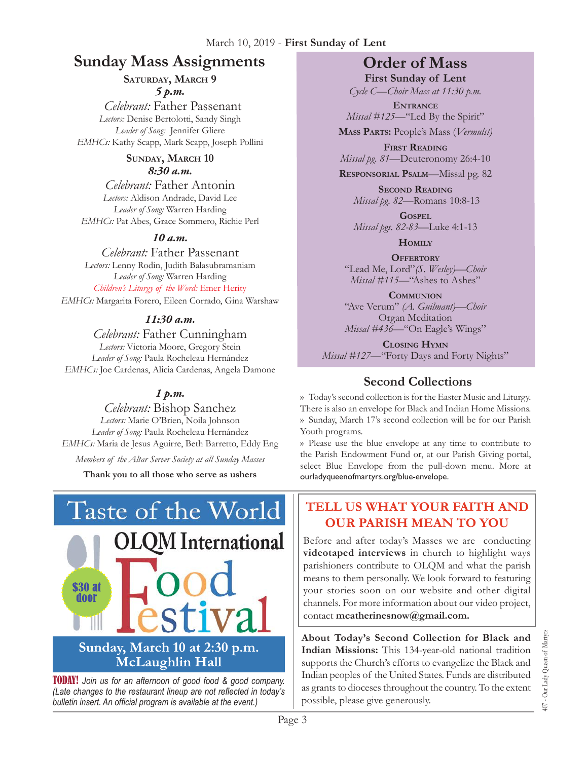# **Sunday Mass Assignments Order of Mass**

### SATURDAY, MARCH 9 *5 p.m.*

 *Celebrant:* Father Passenant *Lectors:* Denise Bertolotti, Sandy Singh *Leader of Song:* Jennifer Gliere *EMHCs:* Kathy Scapp, Mark Scapp, Joseph Pollini

### SUNDAY, MARCH 10 *8:30 a.m.*

*Celebrant:* Father Antonin *Lectors:* Aldison Andrade, David Lee *Leader of Song:* Warren Harding *EMHCs:* Pat Abes, Grace Sommero, Richie Perl

### *10 a.m.*

*Celebrant:* Father Passenant *Lectors:* Lenny Rodin, Judith Balasubramaniam *Leader of Song:* Warren Harding *Children's Liturgy of the Word:* Emer Herity *EMHCs:* Margarita Forero, Eileen Corrado, Gina Warshaw

### *11:30 a.m.*

*Celebrant:* Father Cunningham *Lectors:* Victoria Moore, Gregory Stein *Leader of Song:* Paula Rocheleau Hernández *EMHCs:* Joe Cardenas, Alicia Cardenas, Angela Damone

### *1 p.m.*

*Celebrant:* Bishop Sanchez *Lectors:* Marie O'Brien, Noila Johnson *Leader of Song:* Paula Rocheleau Hernández *EMHCs:* Maria de Jesus Aguirre, Beth Barretto, Eddy Eng *Members of the Altar Server Society at all Sunday Masses*

**Thank you to all those who serve as ushers**



TODAY! *Join us for an afternoon of good food & good company. (Late changes to the restaurant lineup are not reflected in today's bulletin insert. An official program is available at the event.)* 

**First Sunday of Lent** *Cycle C—Choir Mass at 11:30 p.m.* 

**Entrance** *Missal #125—*"Led By the Spirit"

**Mass Parts:** People's Mass (*Vermulst)*

**First Reading** *Missal pg. 81—*Deuteronomy 26:4-10

**Responsorial Psalm**—Missal pg. 82

**Second Reading** *Missal pg. 82—*Romans 10:8-13

**Gospel** *Missal pgs. 82-83—*Luke 4:1-13

**Homily**

**Offertory** "Lead Me, Lord"*(S. Wesley)—Choir Missal* #115—"Ashes to Ashes"

**Communion** "Ave Verum" *(A. Guilmant)—Choir* Organ Meditation *Missal #436—*"On Eagle's Wings"

**Closing Hymn** *Missal #127—*"Forty Days and Forty Nights"

### **Second Collections**

›› Today's second collection is for the Easter Music and Liturgy. There is also an envelope for Black and Indian Home Missions. ›› Sunday, March 17's second collection will be for our Parish Youth programs.

›› Please use the blue envelope at any time to contribute to the Parish Endowment Fund or, at our Parish Giving portal, select Blue Envelope from the pull-down menu. More at ourladyqueenofmartyrs.org/blue-envelope.

## TELL US WHAT YOUR FAITH AND **OUR PARISH MEAN TO YOU**

Before and after today's Masses we are conducting **videotaped interviews** in church to highlight ways parishioners contribute to OLQM and what the parish means to them personally. We look forward to featuring your stories soon on our website and other digital channels. For more information about our video project, contact **mcatherinesnow@gmail.com.** 

**About Today's Second Collection for Black and Indian Missions:** This 134-year-old national tradition supports the Church's efforts to evangelize the Black and Indian peoples of the United States. Funds are distributed as grants to dioceses throughout the country. To the extent possible, please give generously.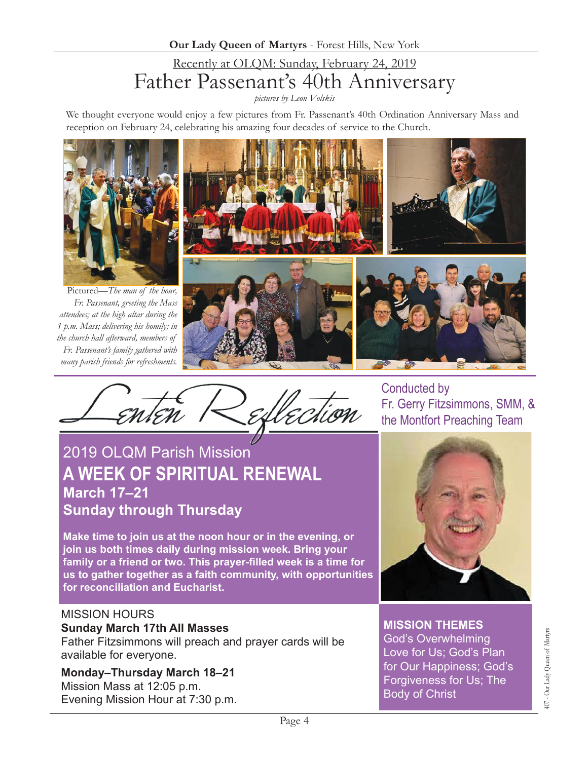### Recently at OLQM: Sunday, February 24, 2019 Father Passenant's 40th Anniversary *pictures by Leon Volskis*

We thought everyone would enjoy a few pictures from Fr. Passenant's 40th Ordination Anniversary Mass and reception on February 24, celebrating his amazing four decades of service to the Church.



'' Tign

2019 OLQM Parish Mission **A Week of Spiritual Renewal March 17–21 Sunday through Thursday**

**Make time to join us at the noon hour or in the evening, or join us both times daily during mission week. Bring your family or a friend or two. This prayer-filled week is a time for us to gather together as a faith community, with opportunities for reconciliation and Eucharist.**

### Mission Hours **Sunday March 17th All Masses**

Father Fitzsimmons will preach and prayer cards will be available for everyone.

**Monday–Thursday March 18–21** Mission Mass at 12:05 p.m. Evening Mission Hour at 7:30 p.m.

Fr. Gerry Fitzsimmons, SMM, & the Montfort Preaching Team

## **Mission Themes**

Conducted by

God's Overwhelming Love for Us; God's Plan for Our Happiness; God's Forgiveness for Us; The Body of Christ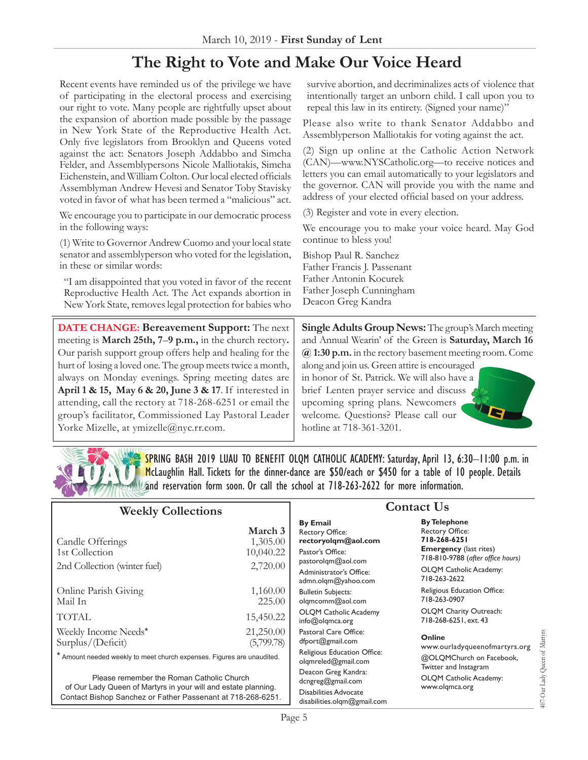# **The Right to Vote and Make Our Voice Heard**

Recent events have reminded us of the privilege we have of participating in the electoral process and exercising our right to vote. Many people are rightfully upset about the expansion of abortion made possible by the passage in New York State of the Reproductive Health Act. Only five legislators from Brooklyn and Queens voted against the act: Senators Joseph Addabbo and Simcha Felder, and Assemblypersons Nicole Malliotakis, Simcha Eichenstein, and William Colton. Our local elected officials Assemblyman Andrew Hevesi and Senator Toby Stavisky voted in favor of what has been termed a "malicious" act.

We encourage you to participate in our democratic process in the following ways:

(1) Write to Governor Andrew Cuomo and your local state senator and assemblyperson who voted for the legislation, in these or similar words:

"I am disappointed that you voted in favor of the recent Reproductive Health Act. The Act expands abortion in New York State, removes legal protection for babies who

**DATE CHANGE: Bereavement Support:** The next meeting is **March 25th, 7**–**9 p.m.,** in the church rectory**.**  Our parish support group offers help and healing for the hurt of losing a loved one. The group meets twice a month, always on Monday evenings. Spring meeting dates are **April 1 & 15, May 6 & 20, June 3 & 17**. If interested in attending, call the rectory at 718-268-6251 or email the group's facilitator, Commissioned Lay Pastoral Leader Yorke Mizelle, at ymizelle@nyc.rr.com.

survive abortion, and decriminalizes acts of violence that intentionally target an unborn child. I call upon you to repeal this law in its entirety. (Signed your name)"

Please also write to thank Senator Addabbo and Assemblyperson Malliotakis for voting against the act.

(2) Sign up online at the Catholic Action Network (CAN)—www.NYSCatholic.org—to receive notices and letters you can email automatically to your legislators and the governor. CAN will provide you with the name and address of your elected official based on your address.

(3) Register and vote in every election.

We encourage you to make your voice heard. May God continue to bless you!

Bishop Paul R. Sanchez Father Francis J. Passenant Father Antonin Kocurek Father Joseph Cunningham Deacon Greg Kandra

**Single Adults Group News:** The group's March meeting and Annual Wearin' of the Green is **Saturday, March 16 @ 1:30 p.m.** in the rectory basement meeting room. Come

along and join us. Green attire is encouraged in honor of St. Patrick. We will also have a brief Lenten prayer service and discuss upcoming spring plans. Newcomers welcome. Questions? Please call our hotline at 718-361-3201.



SPRING BASH 2019 LUAU TO BENEFIT OLQM CATHOLIC ACADEMY: Saturday, April 13, 6:30-11:00 p.m. in McLaughlin Hall. Tickets for the dinner-dance are \$50/each or \$450 for a table of 10 people. Details and reservation form soon. Or call the school at 718-263-2622 for more information.

| <b>Weekly Collections</b>                                                                                                                                                  |                                  | <b>Contact Us</b>                                                                                          |                                                                                                                              |
|----------------------------------------------------------------------------------------------------------------------------------------------------------------------------|----------------------------------|------------------------------------------------------------------------------------------------------------|------------------------------------------------------------------------------------------------------------------------------|
| Candle Offerings<br>1st Collection                                                                                                                                         | March 3<br>1,305.00<br>10,040.22 | <b>By Email</b><br><b>Rectory Office:</b><br>rectoryolqm@aol.com<br>Pastor's Office:<br>pastorolqm@aol.com | <b>By Telephone</b><br>Rectory Office:<br>718-268-6251<br><b>Emergency</b> (last rites)<br>718-810-9788 (after office hours) |
| 2nd Collection (winter fuel)                                                                                                                                               | 2,720.00                         | Administrator's Office:<br>admn.olgm@yahoo.com                                                             | OLQM Catholic Academy:<br>718-263-2622                                                                                       |
| Online Parish Giving<br>Mail In                                                                                                                                            | 1,160.00<br>225.00               | <b>Bulletin Subjects:</b><br>olgmcomm@aol.com                                                              | Religious Education Office:<br>718-263-0907                                                                                  |
| <b>TOTAL</b>                                                                                                                                                               | 15,450.22                        | <b>OLQM</b> Catholic Academy<br>info@olgmca.org                                                            | OLQM Charity Outreach:<br>718-268-6251, ext. 43                                                                              |
| Weekly Income Needs*<br>Surplus/(Deficit)                                                                                                                                  | 21,250.00<br>(5,799.78)          | Pastoral Care Office:<br>dfport@gmail.com                                                                  | Online<br>www.ourladyqueenofmartyrs.org                                                                                      |
| * Amount needed weekly to meet church expenses. Figures are unaudited.                                                                                                     |                                  | Religious Education Office:<br>olqmreled@gmail.com                                                         | @OLQMChurch on Facebook,<br>Twitter and Instagram<br>OLQM Catholic Academy:<br>www.olgmca.org                                |
| Please remember the Roman Catholic Church<br>of Our Lady Queen of Martyrs in your will and estate planning.<br>Contact Bishop Sanchez or Father Passenant at 718-268-6251. |                                  | Deacon Greg Kandra:<br>dcngreg@gmail.com<br><b>Disabilities Advocate</b><br>disabilities.olgm@gmail.com    |                                                                                                                              |